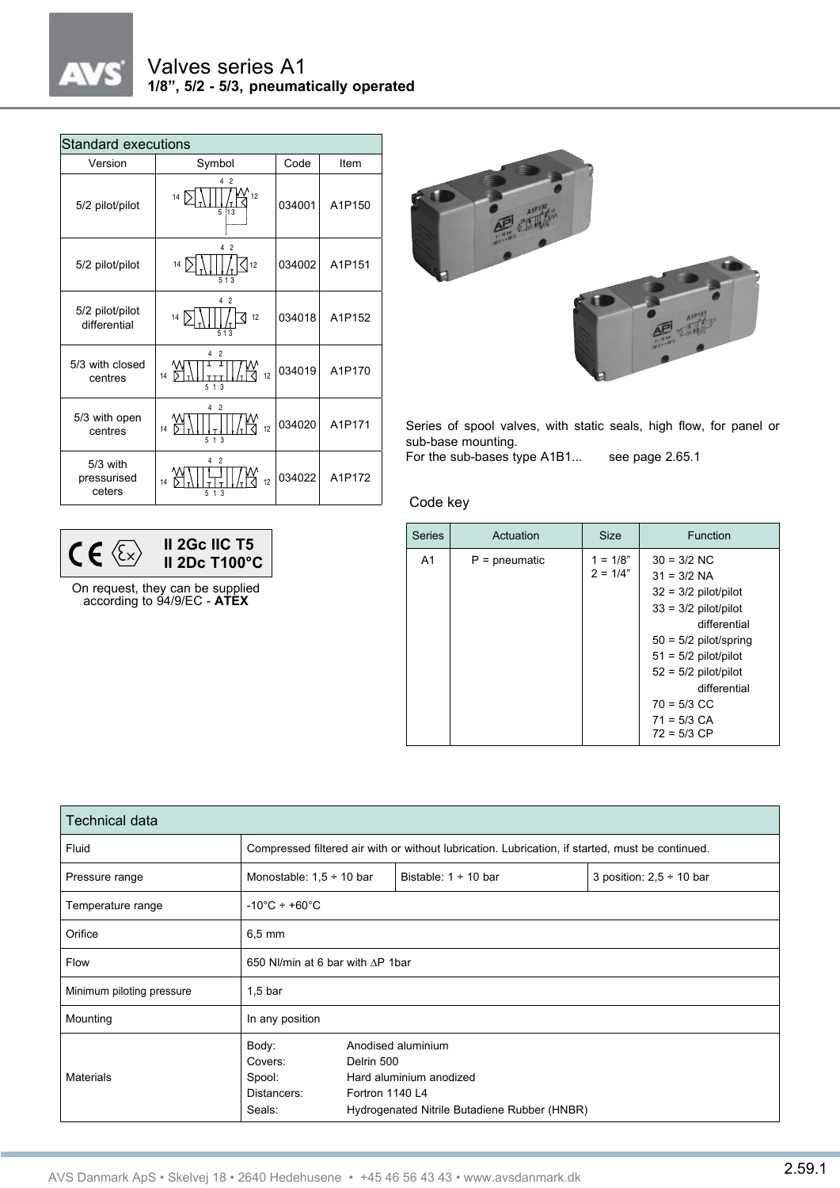

## Valves series A1 **1/8", 5/2 - 5/3, pneumatically operated**

| <b>Standard executions</b>        |                                                   |        |        |  |  |  |  |  |
|-----------------------------------|---------------------------------------------------|--------|--------|--|--|--|--|--|
| Version                           | Symbol                                            | Code   | Item   |  |  |  |  |  |
| 5/2 pilot/pilot                   | 4 2<br>∫`12<br>14<br>$\overline{5}$<br>13         | 034001 | A1P150 |  |  |  |  |  |
| 5/2 pilot/pilot                   | 4 <sup>2</sup><br>14<br>112<br>513                | 034002 | A1P151 |  |  |  |  |  |
| 5/2 pilot/pilot<br>differential   | 4 2<br>14<br>12<br>513                            | 034018 | A1P152 |  |  |  |  |  |
| 5/3 with closed<br>centres        | $\overline{2}$<br>4<br>12<br>14<br>513            | 034019 | A1P170 |  |  |  |  |  |
| 5/3 with open<br>centres          | 2<br>12<br>14<br>513                              | 034020 | A1P171 |  |  |  |  |  |
| 5/3 with<br>pressurised<br>ceters | 4<br>$\overline{2}$<br>12<br>14<br>1 <sub>3</sub> | 034022 | A1P172 |  |  |  |  |  |

On request, they can be supplied according to 94/9/EC - **ATEX**

 $CE \langle E \rangle$ 

**II 2Gc IIC T5 II 2Dc T100°C**



Series of spool valves, with static seals, high flow, for panel or sub-base mounting.

For the sub-bases type A1B1... see page 2.65.1

Code key

| <b>Series</b>  | Actuation       | <b>Size</b>              | Function                                                                                                                                                                                                                                             |
|----------------|-----------------|--------------------------|------------------------------------------------------------------------------------------------------------------------------------------------------------------------------------------------------------------------------------------------------|
| A <sub>1</sub> | $P =$ pneumatic | $1 = 1/8"$<br>$2 = 1/4"$ | $30 = 3/2$ NC<br>$31 = 3/2$ NA<br>$32 = 3/2$ pilot/pilot<br>$33 = 3/2$ pilot/pilot<br>differential<br>$50 = 5/2$ pilot/spring<br>$51 = 5/2$ pilot/pilot<br>$52 = 5/2$ pilot/pilot<br>differential<br>$70 = 5/3$ CC<br>$71 = 5/3$ CA<br>$72 = 5/3$ CP |

| <b>Technical data</b>     |                                                                                                  |                                                                                                                                |                           |                               |  |  |
|---------------------------|--------------------------------------------------------------------------------------------------|--------------------------------------------------------------------------------------------------------------------------------|---------------------------|-------------------------------|--|--|
| Fluid                     | Compressed filtered air with or without lubrication. Lubrication, if started, must be continued. |                                                                                                                                |                           |                               |  |  |
| Pressure range            | Monostable: $1.5 \div 10$ bar                                                                    |                                                                                                                                | Bistable: $1 \div 10$ bar | 3 position: $2,5 \div 10$ bar |  |  |
| Temperature range         | $-10^{\circ}$ C ÷ +60 $^{\circ}$ C                                                               |                                                                                                                                |                           |                               |  |  |
| Orifice                   | $6.5 \text{ mm}$                                                                                 |                                                                                                                                |                           |                               |  |  |
| Flow                      | 650 NI/min at 6 bar with AP 1bar                                                                 |                                                                                                                                |                           |                               |  |  |
| Minimum piloting pressure | $1,5$ bar                                                                                        |                                                                                                                                |                           |                               |  |  |
| Mounting                  | In any position                                                                                  |                                                                                                                                |                           |                               |  |  |
| <b>Materials</b>          | Body:<br>Covers:<br>Spool:<br>Distancers:<br>Seals:                                              | Anodised aluminium<br>Delrin 500<br>Hard aluminium anodized<br>Fortron 1140 L4<br>Hydrogenated Nitrile Butadiene Rubber (HNBR) |                           |                               |  |  |